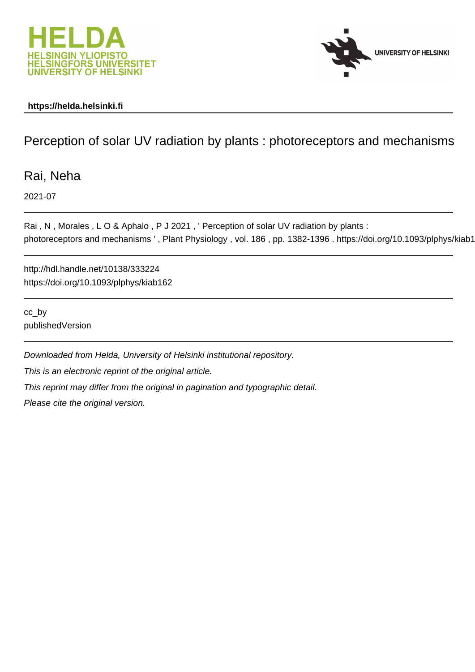



## **https://helda.helsinki.fi**

## Perception of solar UV radiation by plants : photoreceptors and mechanisms

Rai, Neha

2021-07

Rai, N, Morales, LO & Aphalo, P J 2021, ' Perception of solar UV radiation by plants : photoreceptors and mechanisms ', Plant Physiology, vol. 186, pp. 1382-1396. https://doi.org/10.1093/plphys/kiab1

http://hdl.handle.net/10138/333224 https://doi.org/10.1093/plphys/kiab162

cc\_by publishedVersion

Downloaded from Helda, University of Helsinki institutional repository. This is an electronic reprint of the original article. This reprint may differ from the original in pagination and typographic detail. Please cite the original version.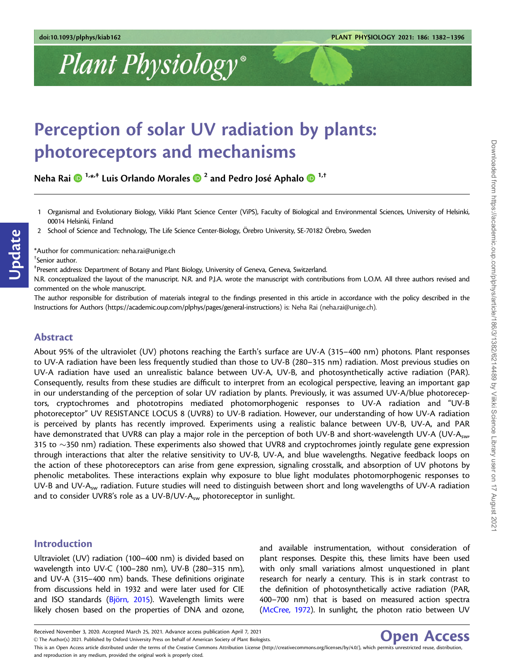# Plant Physiology®

## Perception of solar UV radiation by plants: photoreceptors and mechanisms

Neha Rai 1,\* ,‡ Luis Orlando Morales <sup>2</sup> and Pedro Jose´ Aphalo 1,†

- 1 Organismal and Evolutionary Biology, Viikki Plant Science Center (ViPS), Faculty of Biological and Environmental Sciences, University of Helsinki, 00014 Helsinki, Finland
- 2 School of Science and Technology, The Life Science Center-Biology, O¨rebro University, SE-70182 O¨rebro, Sweden

\*Author for communication: neha.rai@unige.ch

† Senior author.

Update

‡ Present address: Department of Botany and Plant Biology, University of Geneva, Geneva, Switzerland.

N.R. conceptualized the layout of the manuscript. N.R. and P.J.A. wrote the manuscript with contributions from LO.M. All three authors revised and commented on the whole manuscript.

The author responsible for distribution of materials integral to the findings presented in this article in accordance with the policy described in the Instructions for Authors ([https://academic.oup.com/plphys/pages/general-instructions\)](https://academic.oup.com/plphys/pages/general-instructions) is: Neha Rai (neha.rai@unige.ch).

## Abstract

About 95% of the ultraviolet (UV) photons reaching the Earth's surface are UV-A (315–400 nm) photons. Plant responses to UV-A radiation have been less frequently studied than those to UV-B (280–315 nm) radiation. Most previous studies on UV-A radiation have used an unrealistic balance between UV-A, UV-B, and photosynthetically active radiation (PAR). Consequently, results from these studies are difficult to interpret from an ecological perspective, leaving an important gap in our understanding of the perception of solar UV radiation by plants. Previously, it was assumed UV-A/blue photoreceptors, cryptochromes and phototropins mediated photomorphogenic responses to UV-A radiation and "UV-B photoreceptor" UV RESISTANCE LOCUS 8 (UVR8) to UV-B radiation. However, our understanding of how UV-A radiation is perceived by plants has recently improved. Experiments using a realistic balance between UV-B, UV-A, and PAR have demonstrated that UVR8 can play a major role in the perception of both UV-B and short-wavelength UV-A (UV-Asw, 315 to  $\sim$ 350 nm) radiation. These experiments also showed that UVR8 and cryptochromes jointly regulate gene expression through interactions that alter the relative sensitivity to UV-B, UV-A, and blue wavelengths. Negative feedback loops on the action of these photoreceptors can arise from gene expression, signaling crosstalk, and absorption of UV photons by phenolic metabolites. These interactions explain why exposure to blue light modulates photomorphogenic responses to UV-B and UV-A<sub>sw</sub> radiation. Future studies will need to distinguish between short and long wavelengths of UV-A radiation and to consider UVR8's role as a UV-B/UV- $A_{sw}$  photoreceptor in sunlight.

## Introduction

Ultraviolet (UV) radiation (100–400 nm) is divided based on wavelength into UV-C (100–280 nm), UV-B (280–315 nm), and UV-A (315–400 nm) bands. These definitions originate from discussions held in 1932 and were later used for CIE and ISO standards ( $Björn$ , 2015). Wavelength limits were likely chosen based on the properties of DNA and ozone, and available instrumentation, without consideration of plant responses. Despite this, these limits have been used with only small variations almost unquestioned in plant research for nearly a century. This is in stark contrast to the definition of photosynthetically active radiation (PAR, 400–700 nm) that is based on measured action spectra (McCree, 1972). In sunlight, the photon ratio between UV



This is an Open Access article distributed under the terms of the Creative Commons Attribution License (http://creativecommons.org/licenses/by/4.0/), which permits unrestricted reuse, distribution and reproduction in any medium, provided the original work is properly cited.

Received November 3, 2020. Accepted March 25, 2021. Advance access publication April 7, 2021 V<sup>C</sup> The Author(s) 2021. Published by Oxford University Press on behalf of American Society of Plant Biologists.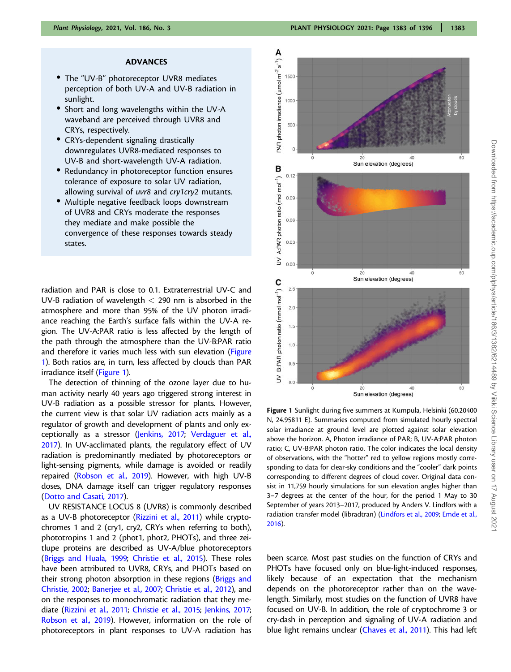#### ADVANCES

- The "UV-B" photoreceptor UVR8 mediates perception of both UV-A and UV-B radiation in sunlight.
- Short and long wavelengths within the UV-A waveband are perceived through UVR8 and CRYs, respectively.
- CRYs-dependent signaling drastically downregulates UVR8-mediated responses to UV-B and short-wavelength UV-A radiation.
- Redundancy in photoreceptor function ensures tolerance of exposure to solar UV radiation, allowing survival of uvr8 and cry1cry2 mutants.
- Multiple negative feedback loops downstream of UVR8 and CRYs moderate the responses they mediate and make possible the convergence of these responses towards steady states.

radiation and PAR is close to 0.1. Extraterrestrial UV-C and UV-B radiation of wavelength < 290 nm is absorbed in the atmosphere and more than 95% of the UV photon irradiance reaching the Earth's surface falls within the UV-A region. The UV-A:PAR ratio is less affected by the length of the path through the atmosphere than the UV-B:PAR ratio and therefore it varies much less with sun elevation (Figure 1). Both ratios are, in turn, less affected by clouds than PAR irradiance itself (Figure 1).

The detection of thinning of the ozone layer due to human activity nearly 40 years ago triggered strong interest in UV-B radiation as a possible stressor for plants. However, the current view is that solar UV radiation acts mainly as a regulator of growth and development of plants and only exceptionally as a stressor (Jenkins, 2017; Verdaguer et al., 2017). In UV-acclimated plants, the regulatory effect of UV radiation is predominantly mediated by photoreceptors or light-sensing pigments, while damage is avoided or readily repaired (Robson et al., 2019). However, with high UV-B doses, DNA damage itself can trigger regulatory responses (Dotto and Casati, 2017).

UV RESISTANCE LOCUS 8 (UVR8) is commonly described as a UV-B photoreceptor (Rizzini et al., 2011) while cryptochromes 1 and 2 (cry1, cry2, CRYs when referring to both), phototropins 1 and 2 (phot1, phot2, PHOTs), and three zeitlupe proteins are described as UV-A/blue photoreceptors (Briggs and Huala, 1999; Christie et al., 2015). These roles have been attributed to UVR8, CRYs, and PHOTs based on their strong photon absorption in these regions (Briggs and Christie, 2002; Banerjee et al., 2007; Christie et al., 2012), and on the responses to monochromatic radiation that they mediate (Rizzini et al., 2011; Christie et al., 2015; Jenkins, 2017; Robson et al., 2019). However, information on the role of photoreceptors in plant responses to UV-A radiation has



Figure 1 Sunlight during five summers at Kumpula, Helsinki (60.20400 N, 24.95811 E). Summaries computed from simulated hourly spectral solar irradiance at ground level are plotted against solar elevation above the horizon. A, Photon irradiance of PAR; B, UV-A:PAR photon ratio; C, UV-B:PAR photon ratio. The color indicates the local density of observations, with the "hotter" red to yellow regions mostly corresponding to data for clear-sky conditions and the "cooler" dark points corresponding to different degrees of cloud cover. Original data consist in 11,759 hourly simulations for sun elevation angles higher than 3–7 degrees at the center of the hour, for the period 1 May to 30 September of years 2013–2017, produced by Anders V. Lindfors with a radiation transfer model (libradtran) (Lindfors et al., 2009; Emde et al., 2016).

been scarce. Most past studies on the function of CRYs and PHOTs have focused only on blue-light-induced responses, likely because of an expectation that the mechanism depends on the photoreceptor rather than on the wavelength. Similarly, most studies on the function of UVR8 have focused on UV-B. In addition, the role of cryptochrome 3 or cry-dash in perception and signaling of UV-A radiation and blue light remains unclear (Chaves et al., 2011). This had left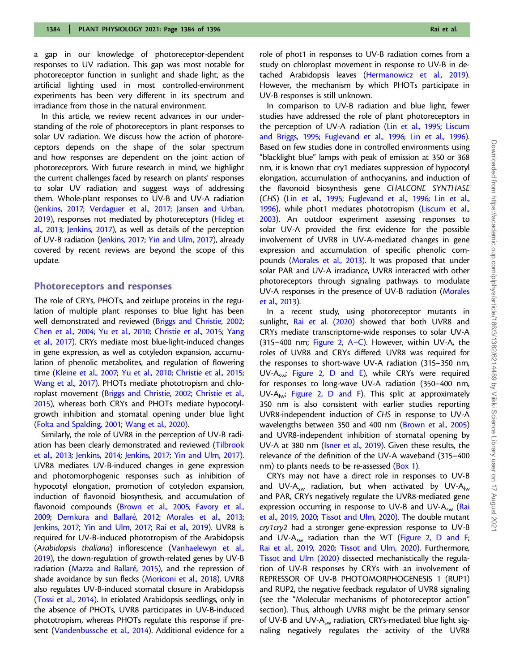a gap in our knowledge of photoreceptor-dependent responses to UV radiation. This gap was most notable for photoreceptor function in sunlight and shade light, as the artificial lighting used in most controlled-environment experiments has been very different in its spectrum and irradiance from those in the natural environment.

In this article, we review recent advances in our understanding of the role of photoreceptors in plant responses to solar UV radiation. We discuss how the action of photoreceptors depends on the shape of the solar spectrum and how responses are dependent on the joint action of photoreceptors. With future research in mind, we highlight the current challenges faced by research on plants' responses to solar UV radiation and suggest ways of addressing them. Whole-plant responses to UV-B and UV-A radiation (Jenkins, 2017; Verdaguer et al., 2017; Jansen and Urban, 2019), responses not mediated by photoreceptors (Hideg et al., 2013; Jenkins, 2017), as well as details of the perception of UV-B radiation (Jenkins, 2017; Yin and Ulm, 2017), already covered by recent reviews are beyond the scope of this update.

#### Photoreceptors and responses

The role of CRYs, PHOTs, and zeitlupe proteins in the regulation of multiple plant responses to blue light has been well demonstrated and reviewed (Briggs and Christie, 2002; Chen et al., 2004; Yu et al., 2010; Christie et al., 2015; Yang et al., 2017). CRYs mediate most blue-light-induced changes in gene expression, as well as cotyledon expansion, accumulation of phenolic metabolites, and regulation of flowering time (Kleine et al., 2007; Yu et al., 2010; Christie et al., 2015; Wang et al., 2017). PHOTs mediate phototropism and chloroplast movement (Briggs and Christie, 2002; Christie et al., 2015), whereas both CRYs and PHOTs mediate hypocotylgrowth inhibition and stomatal opening under blue light (Folta and Spalding, 2001; Wang et al., 2020).

Similarly, the role of UVR8 in the perception of UV-B radiation has been clearly demonstrated and reviewed (Tilbrook et al., 2013; Jenkins, 2014; Jenkins, 2017; Yin and Ulm, 2017). UVR8 mediates UV-B-induced changes in gene expression and photomorphogenic responses such as inhibition of hypocotyl elongation, promotion of cotyledon expansion, induction of flavonoid biosynthesis, and accumulation of flavonoid compounds (Brown et al., 2005; Favory et al., 2009; Demkura and Ballaré, 2012; Morales et al., 2013; Jenkins, 2017; Yin and Ulm, 2017; Rai et al., 2019). UVR8 is required for UV-B-induced phototropism of the Arabidopsis (Arabidopsis thaliana) inflorescence (Vanhaelewyn et al., 2019), the down-regulation of growth-related genes by UV-B radiation (Mazza and Ballaré, 2015), and the repression of shade avoidance by sun flecks (Moriconi et al., 2018). UVR8 also regulates UV-B-induced stomatal closure in Arabidopsis (Tossi et al., 2014). In etiolated Arabidopsis seedlings, only in the absence of PHOTs, UVR8 participates in UV-B-induced phototropism, whereas PHOTs regulate this response if present (Vandenbussche et al., 2014). Additional evidence for a role of phot1 in responses to UV-B radiation comes from a study on chloroplast movement in response to UV-B in detached Arabidopsis leaves (Hermanowicz et al., 2019). However, the mechanism by which PHOTs participate in UV-B responses is still unknown.

In comparison to UV-B radiation and blue light, fewer studies have addressed the role of plant photoreceptors in the perception of UV-A radiation (Lin et al., 1995; Liscum and Briggs, 1995; Fuglevand et al., 1996; Lin et al., 1996). Based on few studies done in controlled environments using "blacklight blue" lamps with peak of emission at 350 or 368 nm, it is known that cry1 mediates suppression of hypocotyl elongation, accumulation of anthocyanins, and induction of the flavonoid biosynthesis gene CHALCONE SYNTHASE (CHS) (Lin et al., 1995; Fuglevand et al., 1996; Lin et al., 1996), while phot1 mediates phototropism (Liscum et al., 2003). An outdoor experiment assessing responses to solar UV-A provided the first evidence for the possible involvement of UVR8 in UV-A-mediated changes in gene expression and accumulation of specific phenolic compounds (Morales et al., 2013). It was proposed that under solar PAR and UV-A irradiance, UVR8 interacted with other photoreceptors through signaling pathways to modulate UV-A responses in the presence of UV-B radiation (Morales et al., 2013).

In a recent study, using photoreceptor mutants in sunlight, Rai et al. (2020) showed that both UVR8 and CRYs mediate transcriptome-wide responses to solar UV-A (315–400 nm; Figure 2, A–C). However, within UV-A, the roles of UVR8 and CRYs differed: UVR8 was required for the responses to short-wave UV-A radiation (315–350 nm, UV-A<sub>sw</sub>; Figure 2, D and E), while CRYs were required for responses to long-wave UV-A radiation (350–400 nm, UV-A $_{\text{lw}}$ ; Figure 2, D and F). This split at approximately 350 nm is also consistent with earlier studies reporting UVR8-independent induction of CHS in response to UV-A wavelengths between 350 and 400 nm (Brown et al., 2005) and UVR8-independent inhibition of stomatal opening by UV-A at 380 nm (Isner et al., 2019). Given these results, the relevance of the definition of the UV-A waveband (315–400 nm) to plants needs to be re-assessed (Box 1).

CRYs may not have a direct role in responses to UV-B and UV-A<sub>sw</sub> radiation, but when activated by UV-A<sub>lw</sub> and PAR, CRYs negatively regulate the UVR8-mediated gene expression occurring in response to UV-B and UV- $A_{sw}$  (Rai et al., 2019, 2020; Tissot and Ulm, 2020). The double mutant cry1cry2 had a stronger gene-expression response to UV-B and UV-A<sub>sw</sub> radiation than the WT (Figure 2, D and F; Rai et al., 2019, 2020; Tissot and Ulm, 2020). Furthermore, Tissot and Ulm (2020) dissected mechanistically the regulation of UV-B responses by CRYs with an involvement of REPRESSOR OF UV-B PHOTOMORPHOGENESIS 1 (RUP1) and RUP2, the negative feedback regulator of UVR8 signaling (see the "Molecular mechanisms of photoreceptor action" section). Thus, although UVR8 might be the primary sensor of UV-B and UV- $A_{sw}$  radiation, CRYs-mediated blue light signaling negatively regulates the activity of the UVR8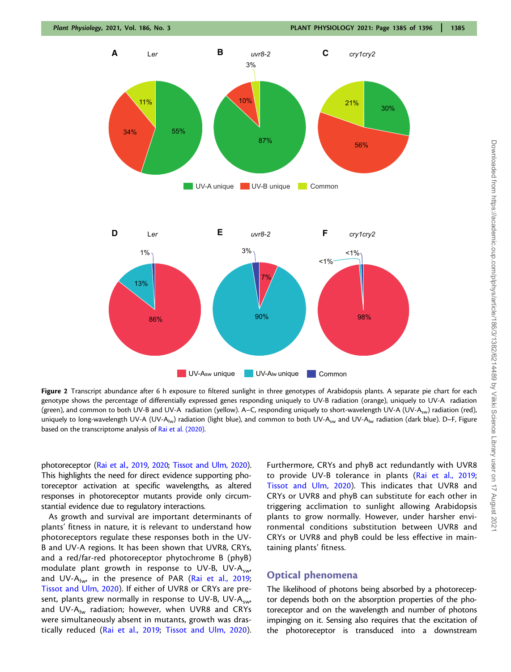

Figure 2 Transcript abundance after 6 h exposure to filtered sunlight in three genotypes of Arabidopsis plants. A separate pie chart for each genotype shows the percentage of differentially expressed genes responding uniquely to UV-B radiation (orange), uniquely to UV-A radiation (green), and common to both UV-B and UV-A radiation (yellow). A–C, responding uniquely to short-wavelength UV-A (UV-A<sub>sw</sub>) radiation (red), uniquely to long-wavelength UV-A (UV-A<sub>lw</sub>) radiation (light blue), and common to both UV-A<sub>sw</sub> and UV-A<sub>lw</sub> radiation (dark blue). D–F, Figure based on the transcriptome analysis of Rai et al. (2020).

photoreceptor (Rai et al., 2019, 2020; Tissot and Ulm, 2020). This highlights the need for direct evidence supporting photoreceptor activation at specific wavelengths, as altered responses in photoreceptor mutants provide only circumstantial evidence due to regulatory interactions.

As growth and survival are important determinants of plants' fitness in nature, it is relevant to understand how photoreceptors regulate these responses both in the UV-B and UV-A regions. It has been shown that UVR8, CRYs, and a red/far-red photoreceptor phytochrome B (phyB) modulate plant growth in response to UV-B, UV-A<sub>sw</sub>, and UV-A<sub>lw</sub>, in the presence of PAR (Rai et al., 2019; Tissot and Ulm, 2020). If either of UVR8 or CRYs are present, plants grew normally in response to UV-B, UV-A<sub>sw</sub>, and UV- $A_{lw}$  radiation; however, when UVR8 and CRYs were simultaneously absent in mutants, growth was drastically reduced (Rai et al., 2019; Tissot and Ulm, 2020). Furthermore, CRYs and phyB act redundantly with UVR8 to provide UV-B tolerance in plants (Rai et al., 2019; Tissot and Ulm, 2020). This indicates that UVR8 and CRYs or UVR8 and phyB can substitute for each other in triggering acclimation to sunlight allowing Arabidopsis plants to grow normally. However, under harsher environmental conditions substitution between UVR8 and CRYs or UVR8 and phyB could be less effective in maintaining plants' fitness.

## Optical phenomena

The likelihood of photons being absorbed by a photoreceptor depends both on the absorption properties of the photoreceptor and on the wavelength and number of photons impinging on it. Sensing also requires that the excitation of the photoreceptor is transduced into a downstream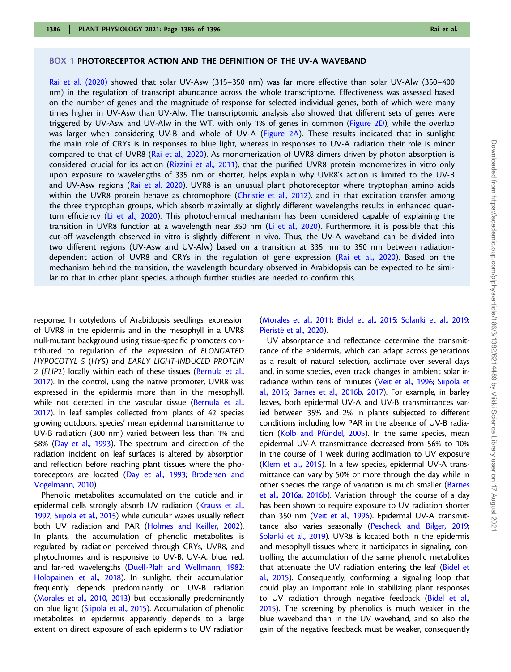#### BOX 1 PHOTORECEPTOR ACTION AND THE DEFINITION OF THE UV-A WAVEBAND

Rai et al. (2020) showed that solar UV-Asw (315–350 nm) was far more effective than solar UV-Alw (350–400 nm) in the regulation of transcript abundance across the whole transcriptome. Effectiveness was assessed based on the number of genes and the magnitude of response for selected individual genes, both of which were many times higher in UV-Asw than UV-Alw. The transcriptomic analysis also showed that different sets of genes were triggered by UV-Asw and UV-Alw in the WT, with only 1% of genes in common (Figure 2D), while the overlap was larger when considering UV-B and whole of UV-A (Figure 2A). These results indicated that in sunlight the main role of CRYs is in responses to blue light, whereas in responses to UV-A radiation their role is minor compared to that of UVR8 (Rai et al., 2020). As monomerization of UVR8 dimers driven by photon absorption is considered crucial for its action (Rizzini et al., 2011), that the purified UVR8 protein monomerizes in vitro only upon exposure to wavelengths of 335 nm or shorter, helps explain why UVR8's action is limited to the UV-B and UV-Asw regions (Rai et al. 2020). UVR8 is an unusual plant photoreceptor where tryptophan amino acids within the UVR8 protein behave as chromophore (Christie et al., 2012), and in that excitation transfer among the three tryptophan groups, which absorb maximally at slightly different wavelengths results in enhanced quantum efficiency (Li et al., 2020). This photochemical mechanism has been considered capable of explaining the transition in UVR8 function at a wavelength near 350 nm (Li et al., 2020). Furthermore, it is possible that this cut-off wavelength observed in vitro is slightly different in vivo. Thus, the UV-A waveband can be divided into two different regions (UV-Asw and UV-Alw) based on a transition at 335 nm to 350 nm between radiationdependent action of UVR8 and CRYs in the regulation of gene expression (Rai et al., 2020). Based on the mechanism behind the transition, the wavelength boundary observed in Arabidopsis can be expected to be similar to that in other plant species, although further studies are needed to confirm this.

response. In cotyledons of Arabidopsis seedlings, expression of UVR8 in the epidermis and in the mesophyll in a UVR8 null-mutant background using tissue-specific promoters contributed to regulation of the expression of ELONGATED HYPOCOTYL 5 (HY5) and EARLY LIGHT-INDUCED PROTEIN 2 (ELIP2) locally within each of these tissues (Bernula et al., 2017). In the control, using the native promoter, UVR8 was expressed in the epidermis more than in the mesophyll, while not detected in the vascular tissue (Bernula et al., 2017). In leaf samples collected from plants of 42 species growing outdoors, species' mean epidermal transmittance to UV-B radiation (300 nm) varied between less than 1% and 58% (Day et al., 1993). The spectrum and direction of the radiation incident on leaf surfaces is altered by absorption and reflection before reaching plant tissues where the photoreceptors are located (Day et al., 1993; Brodersen and Vogelmann, 2010).

Phenolic metabolites accumulated on the cuticle and in epidermal cells strongly absorb UV radiation (Krauss et al., 1997; Siipola et al., 2015) while cuticular waxes usually reflect both UV radiation and PAR (Holmes and Keiller, 2002). In plants, the accumulation of phenolic metabolites is regulated by radiation perceived through CRYs, UVR8, and phytochromes and is responsive to UV-B, UV-A, blue, red, and far-red wavelengths (Duell-Pfaff and Wellmann, 1982; Holopainen et al., 2018). In sunlight, their accumulation frequently depends predominantly on UV-B radiation (Morales et al., 2010, 2013) but occasionally predominantly on blue light (Siipola et al., 2015). Accumulation of phenolic metabolites in epidermis apparently depends to a large extent on direct exposure of each epidermis to UV radiation (Morales et al., 2011; Bidel et al., 2015; Solanki et al., 2019; Pieristè et al., 2020).

UV absorptance and reflectance determine the transmittance of the epidermis, which can adapt across generations as a result of natural selection, acclimate over several days and, in some species, even track changes in ambient solar irradiance within tens of minutes (Veit et al., 1996; Siipola et al., 2015; Barnes et al., 2016b, 2017). For example, in barley leaves, both epidermal UV-A and UV-B transmittances varied between 35% and 2% in plants subjected to different conditions including low PAR in the absence of UV-B radiation (Kolb and Pfündel, 2005). In the same species, mean epidermal UV-A transmittance decreased from 56% to 10% in the course of 1 week during acclimation to UV exposure (Klem et al., 2015). In a few species, epidermal UV-A transmittance can vary by 50% or more through the day while in other species the range of variation is much smaller (Barnes et al., 2016a, 2016b). Variation through the course of a day has been shown to require exposure to UV radiation shorter than 350 nm (Veit et al., 1996). Epidermal UV-A transmittance also varies seasonally (Pescheck and Bilger, 2019; Solanki et al., 2019). UVR8 is located both in the epidermis and mesophyll tissues where it participates in signaling, controlling the accumulation of the same phenolic metabolites that attenuate the UV radiation entering the leaf (Bidel et al., 2015). Consequently, conforming a signaling loop that could play an important role in stabilizing plant responses to UV radiation through negative feedback (Bidel et al., 2015). The screening by phenolics is much weaker in the blue waveband than in the UV waveband, and so also the gain of the negative feedback must be weaker, consequently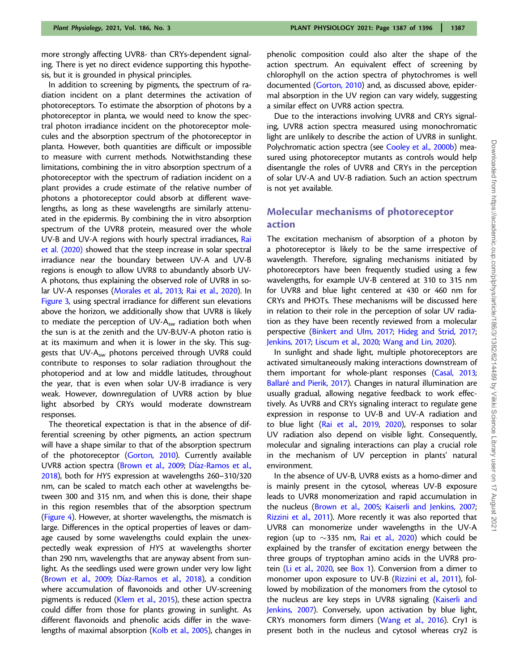more strongly affecting UVR8- than CRYs-dependent signaling. There is yet no direct evidence supporting this hypothesis, but it is grounded in physical principles.

In addition to screening by pigments, the spectrum of radiation incident on a plant determines the activation of photoreceptors. To estimate the absorption of photons by a photoreceptor in planta, we would need to know the spectral photon irradiance incident on the photoreceptor molecules and the absorption spectrum of the photoreceptor in planta. However, both quantities are difficult or impossible to measure with current methods. Notwithstanding these limitations, combining the in vitro absorption spectrum of a photoreceptor with the spectrum of radiation incident on a plant provides a crude estimate of the relative number of photons a photoreceptor could absorb at different wavelengths, as long as these wavelengths are similarly attenuated in the epidermis. By combining the in vitro absorption spectrum of the UVR8 protein, measured over the whole UV-B and UV-A regions with hourly spectral irradiances, Rai et al. (2020) showed that the steep increase in solar spectral irradiance near the boundary between UV-A and UV-B regions is enough to allow UVR8 to abundantly absorb UV-A photons, thus explaining the observed role of UVR8 in solar UV-A responses (Morales et al., 2013; Rai et al., 2020). In Figure 3, using spectral irradiance for different sun elevations above the horizon, we additionally show that UVR8 is likely to mediate the perception of UV- $A<sub>sw</sub>$  radiation both when the sun is at the zenith and the UV-B:UV-A photon ratio is at its maximum and when it is lower in the sky. This suggests that UV-A<sub>sw</sub> photons perceived through UVR8 could contribute to responses to solar radiation throughout the photoperiod and at low and middle latitudes, throughout the year, that is even when solar UV-B irradiance is very weak. However, downregulation of UVR8 action by blue light absorbed by CRYs would moderate downstream responses.

The theoretical expectation is that in the absence of differential screening by other pigments, an action spectrum will have a shape similar to that of the absorption spectrum of the photoreceptor (Gorton, 2010). Currently available UVR8 action spectra (Brown et al., 2009; Díaz-Ramos et al., 2018), both for HY5 expression at wavelengths 260–310/320 nm, can be scaled to match each other at wavelengths between 300 and 315 nm, and when this is done, their shape in this region resembles that of the absorption spectrum (Figure 4). However, at shorter wavelengths, the mismatch is large. Differences in the optical properties of leaves or damage caused by some wavelengths could explain the unexpectedly weak expression of HY5 at wavelengths shorter than 290 nm, wavelengths that are anyway absent from sunlight. As the seedlings used were grown under very low light (Brown et al., 2009; Díaz-Ramos et al., 2018), a condition where accumulation of flavonoids and other UV-screening pigments is reduced (Klem et al., 2015), these action spectra could differ from those for plants growing in sunlight. As different flavonoids and phenolic acids differ in the wavelengths of maximal absorption (Kolb et al., 2005), changes in

phenolic composition could also alter the shape of the action spectrum. An equivalent effect of screening by chlorophyll on the action spectra of phytochromes is well documented (Gorton, 2010) and, as discussed above, epidermal absorption in the UV region can vary widely, suggesting a similar effect on UVR8 action spectra.

Due to the interactions involving UVR8 and CRYs signaling, UVR8 action spectra measured using monochromatic light are unlikely to describe the action of UVR8 in sunlight. Polychromatic action spectra (see Cooley et al., 2000b) measured using photoreceptor mutants as controls would help disentangle the roles of UVR8 and CRYs in the perception of solar UV-A and UV-B radiation. Such an action spectrum is not yet available.

## Molecular mechanisms of photoreceptor action

The excitation mechanism of absorption of a photon by a photoreceptor is likely to be the same irrespective of wavelength. Therefore, signaling mechanisms initiated by photoreceptors have been frequently studied using a few wavelengths, for example UV-B centered at 310 to 315 nm for UVR8 and blue light centered at 430 or 460 nm for CRYs and PHOTs. These mechanisms will be discussed here in relation to their role in the perception of solar UV radiation as they have been recently reviewed from a molecular perspective (Binkert and Ulm, 2017; Hideg and Strid, 2017; Jenkins, 2017; Liscum et al., 2020; Wang and Lin, 2020).

In sunlight and shade light, multiple photoreceptors are activated simultaneously making interactions downstream of them important for whole-plant responses (Casal, 2013; Ballaré and Pierik, 2017). Changes in natural illumination are usually gradual, allowing negative feedback to work effectively. As UVR8 and CRYs signaling interact to regulate gene expression in response to UV-B and UV-A radiation and to blue light (Rai et al., 2019, 2020), responses to solar UV radiation also depend on visible light. Consequently, molecular and signaling interactions can play a crucial role in the mechanism of UV perception in plants' natural environment.

In the absence of UV-B, UVR8 exists as a homo-dimer and is mainly present in the cytosol, whereas UV-B exposure leads to UVR8 monomerization and rapid accumulation in the nucleus (Brown et al., 2005; Kaiserli and Jenkins, 2007; Rizzini et al., 2011). More recently it was also reported that UVR8 can monomerize under wavelengths in the UV-A region (up to  $\sim$ 335 nm, Rai et al., 2020) which could be explained by the transfer of excitation energy between the three groups of tryptophan amino acids in the UVR8 protein (Li et al., 2020, see Box 1). Conversion from a dimer to monomer upon exposure to UV-B (Rizzini et al., 2011), followed by mobilization of the monomers from the cytosol to the nucleus are key steps in UVR8 signaling (Kaiserli and Jenkins, 2007). Conversely, upon activation by blue light, CRYs monomers form dimers (Wang et al., 2016). Cry1 is present both in the nucleus and cytosol whereas cry2 is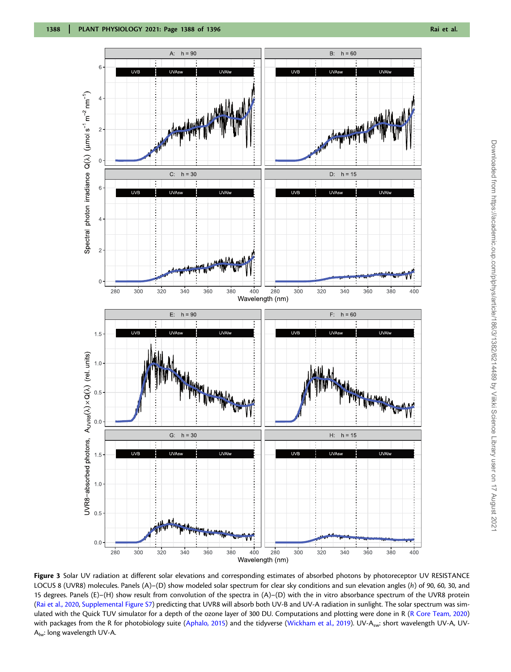

Figure 3 Solar UV radiation at different solar elevations and corresponding estimates of absorbed photons by photoreceptor UV RESISTANCE LOCUS 8 (UVR8) molecules. Panels (A)–(D) show modeled solar spectrum for clear sky conditions and sun elevation angles (h) of 90, 60, 30, and 15 degrees. Panels (E)–(H) show result from convolution of the spectra in (A)–(D) with the in vitro absorbance spectrum of the UVR8 protein (Rai et al., 2020, [Supplemental Figure S7](https://academic.oup.com/plphys/article-lookup/doi/10.1093/plphys/kiab162#supplementary-data)) predicting that UVR8 will absorb both UV-B and UV-A radiation in sunlight. The solar spectrum was simulated with the Quick TUV simulator for a depth of the ozone layer of 300 DU. Computations and plotting were done in R (R Core Team, 2020) with packages from the R for photobiology suite (Aphalo, 2015) and the tidyverse (Wickham et al., 2019). UV-A<sub>sw</sub>: short wavelength UV-A, UV- $A_{\text{lw}}$ : long wavelength UV-A.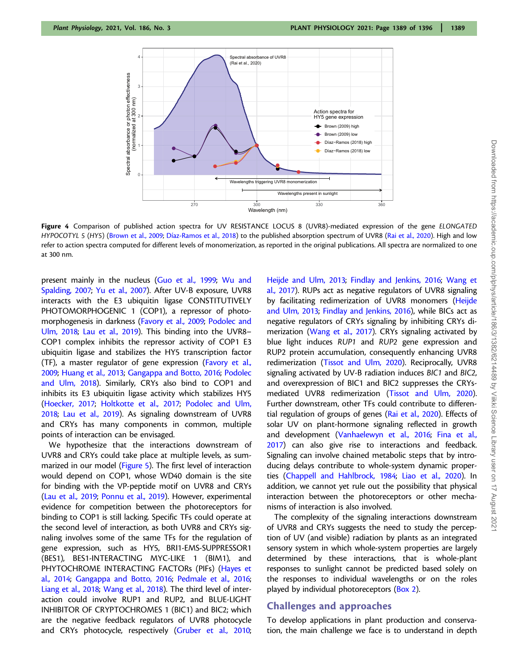

Figure 4 Comparison of published action spectra for UV RESISTANCE LOCUS 8 (UVR8)-mediated expression of the gene ELONGATED HYPOCOTYL 5 (HY5) (Brown et al., 2009; Díaz-Ramos et al., 2018) to the published absorption spectrum of UVR8 (Rai et al., 2020). High and low refer to action spectra computed for different levels of monomerization, as reported in the original publications. All spectra are normalized to one at 300 nm.

present mainly in the nucleus (Guo et al., 1999; Wu and Spalding, 2007; Yu et al., 2007). After UV-B exposure, UVR8 interacts with the E3 ubiquitin ligase CONSTITUTIVELY PHOTOMORPHOGENIC 1 (COP1), a repressor of photomorphogenesis in darkness (Favory et al., 2009; Podolec and Ulm, 2018; Lau et al., 2019). This binding into the UVR8-COP1 complex inhibits the repressor activity of COP1 E3 ubiquitin ligase and stabilizes the HY5 transcription factor (TF), a master regulator of gene expression (Favory et al., 2009; Huang et al., 2013; Gangappa and Botto, 2016; Podolec and Ulm, 2018). Similarly, CRYs also bind to COP1 and inhibits its E3 ubiquitin ligase activity which stabilizes HY5 (Hoecker, 2017; Holtkotte et al., 2017; Podolec and Ulm, 2018; Lau et al., 2019). As signaling downstream of UVR8 and CRYs has many components in common, multiple points of interaction can be envisaged.

We hypothesize that the interactions downstream of UVR8 and CRYs could take place at multiple levels, as summarized in our model (Figure 5). The first level of interaction would depend on COP1, whose WD40 domain is the site for binding with the VP-peptide motif on UVR8 and CRYs (Lau et al., 2019; Ponnu et al., 2019). However, experimental evidence for competition between the photoreceptors for binding to COP1 is still lacking. Specific TFs could operate at the second level of interaction, as both UVR8 and CRYs signaling involves some of the same TFs for the regulation of gene expression, such as HY5, BRI1-EMS-SUPPRESSOR1 (BES1), BES1-INTERACTING MYC-LIKE 1 (BIM1), and PHYTOCHROME INTERACTING FACTORs (PIFs) (Hayes et al., 2014; Gangappa and Botto, 2016; Pedmale et al., 2016; Liang et al., 2018; Wang et al., 2018). The third level of interaction could involve RUP1 and RUP2, and BLUE-LIGHT INHIBITOR OF CRYPTOCHROMES 1 (BIC1) and BIC2; which are the negative feedback regulators of UVR8 photocycle and CRYs photocycle, respectively (Gruber et al., 2010;

Heijde and Ulm, 2013; Findlay and Jenkins, 2016; Wang et al., 2017). RUPs act as negative regulators of UVR8 signaling by facilitating redimerization of UVR8 monomers (Heijde and Ulm, 2013; Findlay and Jenkins, 2016), while BICs act as negative regulators of CRYs signaling by inhibiting CRYs dimerization (Wang et al., 2017). CRYs signaling activated by blue light induces RUP1 and RUP2 gene expression and RUP2 protein accumulation, consequently enhancing UVR8 redimerization (Tissot and Ulm, 2020). Reciprocally, UVR8 signaling activated by UV-B radiation induces BIC1 and BIC2, and overexpression of BIC1 and BIC2 suppresses the CRYsmediated UVR8 redimerization (Tissot and Ulm, 2020). Further downstream, other TFs could contribute to differential regulation of groups of genes (Rai et al., 2020). Effects of solar UV on plant-hormone signaling reflected in growth and development (Vanhaelewyn et al., 2016; Fina et al., 2017) can also give rise to interactions and feedback. Signaling can involve chained metabolic steps that by introducing delays contribute to whole-system dynamic properties (Chappell and Hahlbrock, 1984; Liao et al., 2020). In addition, we cannot yet rule out the possibility that physical interaction between the photoreceptors or other mechanisms of interaction is also involved.

The complexity of the signaling interactions downstream of UVR8 and CRYs suggests the need to study the perception of UV (and visible) radiation by plants as an integrated sensory system in which whole-system properties are largely determined by these interactions, that is whole-plant responses to sunlight cannot be predicted based solely on the responses to individual wavelengths or on the roles played by individual photoreceptors (Box 2).

## Challenges and approaches

To develop applications in plant production and conservation, the main challenge we face is to understand in depth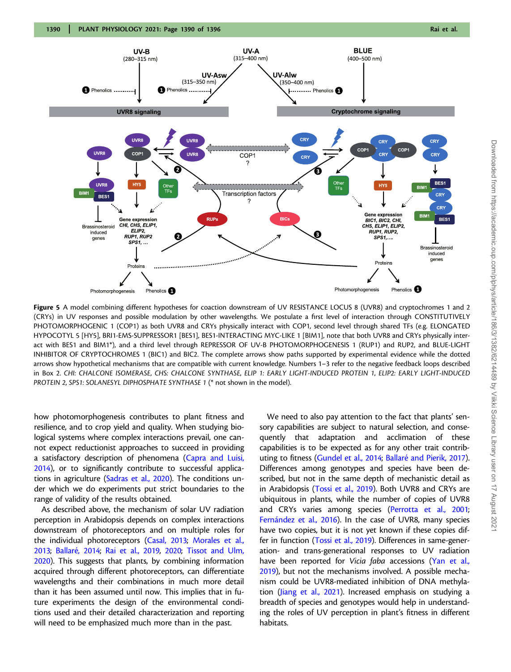

Figure 5 A model combining different hypotheses for coaction downstream of UV RESISTANCE LOCUS 8 (UVR8) and cryptochromes 1 and 2 (CRYs) in UV responses and possible modulation by other wavelengths. We postulate a first level of interaction through CONSTITUTIVELY PHOTOMORPHOGENIC 1 (COP1) as both UVR8 and CRYs physically interact with COP1, second level through shared TFs (e.g. ELONGATED HYPOCOTYL 5 [HY5], BRI1-EMS-SUPPRESSOR1 [BES1], BES1-INTERACTING MYC-LIKE 1 [BIM1], note that both UVR8 and CRYs physically interact with BES1 and BIM1\*), and a third level through REPRESSOR OF UV-B PHOTOMORPHOGENESIS 1 (RUP1) and RUP2, and BLUE-LIGHT INHIBITOR OF CRYPTOCHROMES 1 (BIC1) and BIC2. The complete arrows show paths supported by experimental evidence while the dotted arrows show hypothetical mechanisms that are compatible with current knowledge. Numbers 1–3 refer to the negative feedback loops described in Box 2. CHI: CHALCONE ISOMERASE, CHS: CHALCONE SYNTHASE, ELIP 1: EARLY LIGHT-INDUCED PROTEIN 1, ELIP2: EARLY LIGHT-INDUCED PROTEIN 2, SPS1: SOLANESYL DIPHOSPHATE SYNTHASE 1 (\* not shown in the model).

how photomorphogenesis contributes to plant fitness and resilience, and to crop yield and quality. When studying biological systems where complex interactions prevail, one cannot expect reductionist approaches to succeed in providing a satisfactory description of phenomena (Capra and Luisi, 2014), or to significantly contribute to successful applications in agriculture (Sadras et al., 2020). The conditions under which we do experiments put strict boundaries to the range of validity of the results obtained.

As described above, the mechanism of solar UV radiation perception in Arabidopsis depends on complex interactions downstream of photoreceptors and on multiple roles for the individual photoreceptors (Casal, 2013; Morales et al., 2013; Ballaré, 2014; Rai et al., 2019, 2020; Tissot and Ulm, 2020). This suggests that plants, by combining information acquired through different photoreceptors, can differentiate wavelengths and their combinations in much more detail than it has been assumed until now. This implies that in future experiments the design of the environmental conditions used and their detailed characterization and reporting will need to be emphasized much more than in the past.

We need to also pay attention to the fact that plants' sensory capabilities are subject to natural selection, and consequently that adaptation and acclimation of these capabilities is to be expected as for any other trait contributing to fitness (Gundel et al., 2014; Ballaré and Pierik, 2017). Differences among genotypes and species have been described, but not in the same depth of mechanistic detail as in Arabidopsis (Tossi et al., 2019). Both UVR8 and CRYs are ubiquitous in plants, while the number of copies of UVR8 and CRYs varies among species (Perrotta et al., 2001; Fernández et al., 2016). In the case of UVR8, many species have two copies, but it is not yet known if these copies differ in function (Tossi et al., 2019). Differences in same-generation- and trans-generational responses to UV radiation have been reported for Vicia faba accessions (Yan et al., 2019), but not the mechanisms involved. A possible mechanism could be UVR8-mediated inhibition of DNA methylation (Jiang et al., 2021). Increased emphasis on studying a breadth of species and genotypes would help in understanding the roles of UV perception in plant's fitness in different habitats.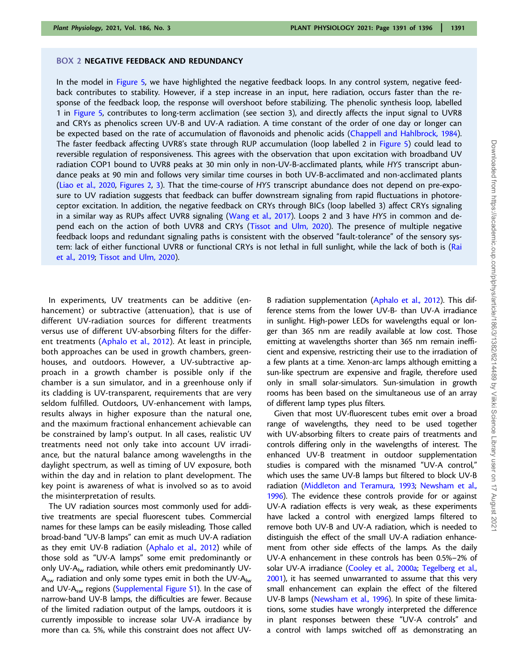#### BOX 2 NEGATIVE FEEDBACK AND REDUNDANCY

In the model in Figure 5, we have highlighted the negative feedback loops. In any control system, negative feedback contributes to stability. However, if a step increase in an input, here radiation, occurs faster than the response of the feedback loop, the response will overshoot before stabilizing. The phenolic synthesis loop, labelled 1 in Figure 5, contributes to long-term acclimation (see section 3), and directly affects the input signal to UVR8 and CRYs as phenolics screen UV-B and UV-A radiation. A time constant of the order of one day or longer can be expected based on the rate of accumulation of flavonoids and phenolic acids (Chappell and Hahlbrock, 1984). The faster feedback affecting UVR8's state through RUP accumulation (loop labelled 2 in Figure 5) could lead to reversible regulation of responsiveness. This agrees with the observation that upon excitation with broadband UV radiation COP1 bound to UVR8 peaks at 30 min only in non-UV-B-acclimated plants, while HY5 transcript abundance peaks at 90 min and follows very similar time courses in both UV-B-acclimated and non-acclimated plants (Liao et al., 2020, Figures 2, 3). That the time-course of HY5 transcript abundance does not depend on pre-exposure to UV radiation suggests that feedback can buffer downstream signaling from rapid fluctuations in photoreceptor excitation. In addition, the negative feedback on CRYs through BICs (loop labelled 3) affect CRYs signaling in a similar way as RUPs affect UVR8 signaling (Wang et al., 2017). Loops 2 and 3 have HY5 in common and depend each on the action of both UVR8 and CRYs (Tissot and Ulm, 2020). The presence of multiple negative feedback loops and redundant signaling paths is consistent with the observed "fault-tolerance" of the sensory system: lack of either functional UVR8 or functional CRYs is not lethal in full sunlight, while the lack of both is (Rai et al., 2019; Tissot and Ulm, 2020).

In experiments, UV treatments can be additive (enhancement) or subtractive (attenuation), that is use of different UV-radiation sources for different treatments versus use of different UV-absorbing filters for the different treatments (Aphalo et al., 2012). At least in principle, both approaches can be used in growth chambers, greenhouses, and outdoors. However, a UV-subtractive approach in a growth chamber is possible only if the chamber is a sun simulator, and in a greenhouse only if its cladding is UV-transparent, requirements that are very seldom fulfilled. Outdoors, UV-enhancement with lamps, results always in higher exposure than the natural one, and the maximum fractional enhancement achievable can be constrained by lamp's output. In all cases, realistic UV treatments need not only take into account UV irradiance, but the natural balance among wavelengths in the daylight spectrum, as well as timing of UV exposure, both within the day and in relation to plant development. The key point is awareness of what is involved so as to avoid the misinterpretation of results.

The UV radiation sources most commonly used for additive treatments are special fluorescent tubes. Commercial names for these lamps can be easily misleading. Those called broad-band "UV-B lamps" can emit as much UV-A radiation as they emit UV-B radiation (Aphalo et al., 2012) while of those sold as "UV-A lamps" some emit predominantly or only UV- $A_{iw}$  radiation, while others emit predominantly UV- $A<sub>sw</sub>$  radiation and only some types emit in both the UV- $A<sub>lw</sub>$ and UV- $A_{sw}$  regions [\(Supplemental Figure S1\)](https://academic.oup.com/plphys/article-lookup/doi/10.1093/plphys/kiab162#supplementary-data). In the case of narrow-band UV-B lamps, the difficulties are fewer. Because of the limited radiation output of the lamps, outdoors it is currently impossible to increase solar UV-A irradiance by more than ca. 5%, while this constraint does not affect UV-

B radiation supplementation (Aphalo et al., 2012). This difference stems from the lower UV-B- than UV-A irradiance in sunlight. High-power LEDs for wavelengths equal or longer than 365 nm are readily available at low cost. Those emitting at wavelengths shorter than 365 nm remain inefficient and expensive, restricting their use to the irradiation of a few plants at a time. Xenon-arc lamps although emitting a sun-like spectrum are expensive and fragile, therefore used only in small solar-simulators. Sun-simulation in growth rooms has been based on the simultaneous use of an array of different lamp types plus filters.

Given that most UV-fluorescent tubes emit over a broad range of wavelengths, they need to be used together with UV-absorbing filters to create pairs of treatments and controls differing only in the wavelengths of interest. The enhanced UV-B treatment in outdoor supplementation studies is compared with the misnamed "UV-A control," which uses the same UV-B lamps but filtered to block UV-B radiation (Middleton and Teramura, 1993; Newsham et al., 1996). The evidence these controls provide for or against UV-A radiation effects is very weak, as these experiments have lacked a control with energized lamps filtered to remove both UV-B and UV-A radiation, which is needed to distinguish the effect of the small UV-A radiation enhancement from other side effects of the lamps. As the daily UV-A enhancement in these controls has been 0.5%–2% of solar UV-A irradiance (Cooley et al., 2000a; Tegelberg et al., 2001), it has seemed unwarranted to assume that this very small enhancement can explain the effect of the filtered UV-B lamps (Newsham et al., 1996). In spite of these limitations, some studies have wrongly interpreted the difference in plant responses between these "UV-A controls" and a control with lamps switched off as demonstrating an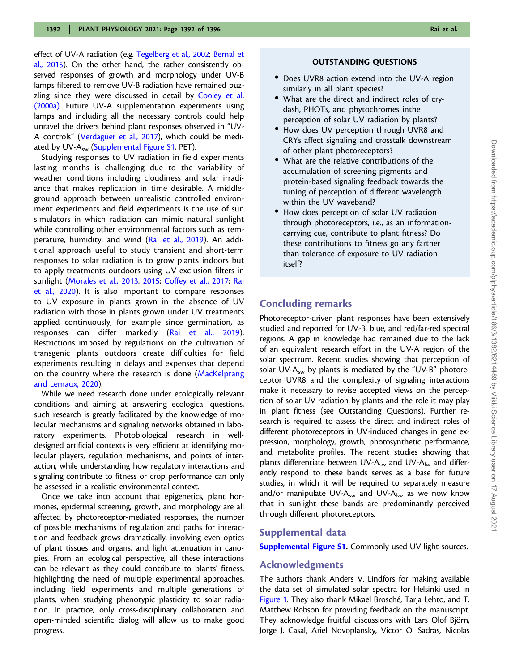effect of UV-A radiation (e.g. Tegelberg et al., 2002; Bernal et al., 2015). On the other hand, the rather consistently observed responses of growth and morphology under UV-B lamps filtered to remove UV-B radiation have remained puzzling since they were discussed in detail by Cooley et al. (2000a). Future UV-A supplementation experiments using lamps and including all the necessary controls could help unravel the drivers behind plant responses observed in "UV-A controls" (Verdaguer et al., 2017), which could be mediated by UV- $A_{sw}$  [\(Supplemental Figure S1,](https://academic.oup.com/plphys/article-lookup/doi/10.1093/plphys/kiab162#supplementary-data) PET).

Studying responses to UV radiation in field experiments lasting months is challenging due to the variability of weather conditions including cloudiness and solar irradiance that makes replication in time desirable. A middleground approach between unrealistic controlled environment experiments and field experiments is the use of sun simulators in which radiation can mimic natural sunlight while controlling other environmental factors such as temperature, humidity, and wind (Rai et al., 2019). An additional approach useful to study transient and short-term responses to solar radiation is to grow plants indoors but to apply treatments outdoors using UV exclusion filters in sunlight (Morales et al., 2013, 2015; Coffey et al., 2017; Rai et al., 2020). It is also important to compare responses to UV exposure in plants grown in the absence of UV radiation with those in plants grown under UV treatments applied continuously, for example since germination, as responses can differ markedly (Rai et al., 2019). Restrictions imposed by regulations on the cultivation of transgenic plants outdoors create difficulties for field experiments resulting in delays and expenses that depend on the country where the research is done (MacKelprang and Lemaux, 2020).

While we need research done under ecologically relevant conditions and aiming at answering ecological questions, such research is greatly facilitated by the knowledge of molecular mechanisms and signaling networks obtained in laboratory experiments. Photobiological research in welldesigned artificial contexts is very efficient at identifying molecular players, regulation mechanisms, and points of interaction, while understanding how regulatory interactions and signaling contribute to fitness or crop performance can only be assessed in a realistic environmental context.

Once we take into account that epigenetics, plant hormones, epidermal screening, growth, and morphology are all affected by photoreceptor-mediated responses, the number of possible mechanisms of regulation and paths for interaction and feedback grows dramatically, involving even optics of plant tissues and organs, and light attenuation in canopies. From an ecological perspective, all these interactions can be relevant as they could contribute to plants' fitness, highlighting the need of multiple experimental approaches, including field experiments and multiple generations of plants, when studying phenotypic plasticity to solar radiation. In practice, only cross-disciplinary collaboration and open-minded scientific dialog will allow us to make good progress.

#### OUTSTANDING QUESTIONS

- Does UVR8 action extend into the UV-A region similarly in all plant species?
- What are the direct and indirect roles of crydash, PHOTs, and phytochromes inthe perception of solar UV radiation by plants?
- How does UV perception through UVR8 and CRYs affect signaling and crosstalk downstream of other plant photoreceptors?
- What are the relative contributions of the accumulation of screening pigments and protein-based signaling feedback towards the tuning of perception of different wavelength within the UV waveband?
- How does perception of solar UV radiation through photoreceptors, i.e., as an informationcarrying cue, contribute to plant fitness? Do these contributions to fitness go any farther than tolerance of exposure to UV radiation itself?

## Concluding remarks

Photoreceptor-driven plant responses have been extensively studied and reported for UV-B, blue, and red/far-red spectral regions. A gap in knowledge had remained due to the lack of an equivalent research effort in the UV-A region of the solar spectrum. Recent studies showing that perception of solar UV-A<sub>sw</sub> by plants is mediated by the "UV-B" photoreceptor UVR8 and the complexity of signaling interactions make it necessary to revise accepted views on the perception of solar UV radiation by plants and the role it may play in plant fitness (see Outstanding Questions). Further research is required to assess the direct and indirect roles of different photoreceptors in UV-induced changes in gene expression, morphology, growth, photosynthetic performance, and metabolite profiles. The recent studies showing that plants differentiate between UV- $A_{sw}$  and UV- $A_{lw}$  and differently respond to these bands serves as a base for future studies, in which it will be required to separately measure and/or manipulate UV- $A_{sw}$  and UV- $A_{low}$  as we now know that in sunlight these bands are predominantly perceived through different photoreceptors.

#### Supplemental data

[Supplemental Figure S1](https://academic.oup.com/plphys/article-lookup/doi/10.1093/plphys/kiab162#supplementary-data). Commonly used UV light sources.

## Acknowledgments

The authors thank Anders V. Lindfors for making available the data set of simulated solar spectra for Helsinki used in Figure 1. They also thank Mikael Brosché, Tarja Lehto, and T. Matthew Robson for providing feedback on the manuscript. They acknowledge fruitful discussions with Lars Olof Björn, Jorge J. Casal, Ariel Novoplansky, Victor O. Sadras, Nicolas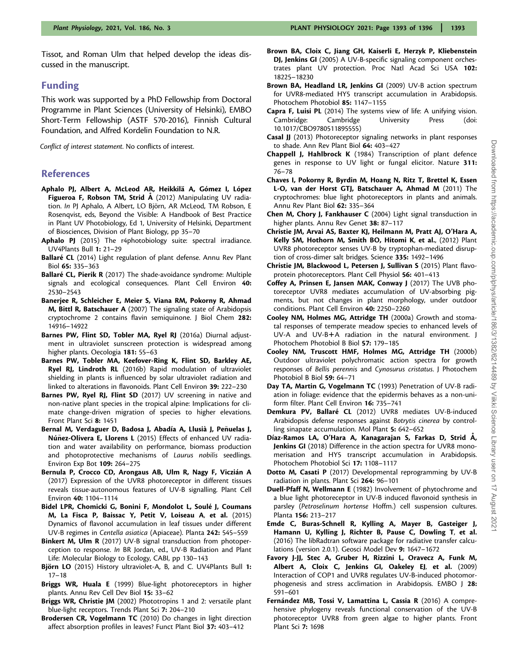Tissot, and Roman Ulm that helped develop the ideas discussed in the manuscript.

### Funding

This work was supported by a PhD Fellowship from Doctoral Programme in Plant Sciences (University of Helsinki), EMBO Short-Term Fellowship (ASTF 570-2016), Finnish Cultural Foundation, and Alfred Kordelin Foundation to N.R.

Conflict of interest statement. No conflicts of interest.

## References

- Aphalo PJ, Albert A, McLeod AR, Heikkilä A, Gómez I, López Figueroa F, Robson TM, Strid Å (2012) Manipulating UV radiation. In PJ Aphalo, A Albert, LO Björn, AR McLeod, TM Robson, E Rosenqvist, eds, Beyond the Visible: A Handbook of Best Practice in Plant UV Photobiology, Ed 1, University of Helsinki, Department of Biosciences, Division of Plant Biology, pp 35–70
- Aphalo PJ (2015) The r4photobiology suite: spectral irradiance. UV4Plants Bull 1: 21–29
- Ballaré CL (2014) Light regulation of plant defense. Annu Rev Plant Biol 65: 335–363
- Ballaré CL, Pierik R (2017) The shade-avoidance syndrome: Multiple signals and ecological consequences. Plant Cell Environ 40: 2530–2543
- Banerjee R, Schleicher E, Meier S, Viana RM, Pokorny R, Ahmad M, Bittl R, Batschauer A (2007) The signaling state of Arabidopsis cryptochrome 2 contains flavin semiquinone. J Biol Chem 282: 14916–14922
- Barnes PW, Flint SD, Tobler MA, Ryel RJ (2016a) Diurnal adjustment in ultraviolet sunscreen protection is widespread among higher plants. Oecologia 181: 55–63
- Barnes PW, Tobler MA, Keefover-Ring K, Flint SD, Barkley AE, Ryel RJ, Lindroth RL (2016b) Rapid modulation of ultraviolet shielding in plants is influenced by solar ultraviolet radiation and linked to alterations in flavonoids. Plant Cell Environ 39: 222–230
- Barnes PW, Ryel RJ, Flint SD (2017) UV screening in native and non-native plant species in the tropical alpine: Implications for climate change-driven migration of species to higher elevations. Front Plant Sci 8: 1451
- Bernal M, Verdaguer D, Badosa J, Abadía A, Llusià J, Peñuelas J, Núñez-Olivera E, Llorens L (2015) Effects of enhanced UV radiation and water availability on performance, biomass production and photoprotective mechanisms of Laurus nobilis seedlings. Environ Exp Bot 109: 264–275
- Bernula P, Crocco CD, Arongaus AB, Ulm R, Nagy F, Viczián A (2017) Expression of the UVR8 photoreceptor in different tissues reveals tissue-autonomous features of UV-B signalling. Plant Cell Environ 40: 1104–1114
- Bidel LPR, Chomicki G, Bonini F, Mondolot L, Soulé J, Coumans M, La Fisca P, Baissac Y, Petit V, Loiseau A, et al. (2015) Dynamics of flavonol accumulation in leaf tissues under different UV-B regimes in Centella asiatica (Apiaceae). Planta 242: 545–559
- Binkert M, Ulm R (2017) UV-B signal transduction from photoperception to response. In BR Jordan, ed., UV-B Radiation and Plant Life: Molecular Biology to Ecology, CABI, pp 130–143
- Björn LO (2015) History ultraviolet-A, B, and C. UV4Plants Bull 1: 17–18
- Briggs WR, Huala E (1999) Blue-light photoreceptors in higher plants. Annu Rev Cell Dev Biol 15: 33–62
- Briggs WR, Christie JM (2002) Phototropins 1 and 2: versatile plant blue-light receptors. Trends Plant Sci 7: 204–210
- Brodersen CR, Vogelmann TC (2010) Do changes in light direction affect absorption profiles in leaves? Funct Plant Biol 37: 403–412
- Brown BA, Cloix C, Jiang GH, Kaiserli E, Herzyk P, Kliebenstein DJ, Jenkins GI (2005) A UV-B-specific signaling component orchestrates plant UV protection. Proc Natl Acad Sci USA 102: 18225–18230
- Brown BA, Headland LR, Jenkins GI (2009) UV-B action spectrum for UVR8-mediated HY5 transcript accumulation in Arabidopsis. Photochem Photobiol 85: 1147–1155
- Capra F, Luisi PL (2014) The systems view of life: A unifying vision. Cambridge: Cambridge University Press (doi: 10.1017/CBO9780511895555)
- Casal JJ (2013) Photoreceptor signaling networks in plant responses to shade. Ann Rev Plant Biol 64: 403–427
- Chappell J, Hahlbrock K (1984) Transcription of plant defence genes in response to UV light or fungal elicitor. Nature 311: 76–78
- Chaves I, Pokorny R, Byrdin M, Hoang N, Ritz T, Brettel K, Essen L-O, van der Horst GTJ, Batschauer A, Ahmad M (2011) The cryptochromes: blue light photoreceptors in plants and animals. Annu Rev Plant Biol 62: 335–364
- Chen M, Chory J, Fankhauser C (2004) Light signal transduction in higher plants. Annu Rev Genet 38: 87–117
- Christie JM, Arvai AS, Baxter KJ, Heilmann M, Pratt AJ, O'Hara A, Kelly SM, Hothorn M, Smith BO, Hitomi K, et al., (2012) Plant UVR8 photoreceptor senses UV-B by tryptophan-mediated disruption of cross-dimer salt bridges. Science 335: 1492–1496
- Christie JM, Blackwood L, Petersen J, Sullivan S (2015) Plant flavoprotein photoreceptors. Plant Cell Physiol 56: 401–413
- Coffey A, Prinsen E, Jansen MAK, Conway J (2017) The UVB photoreceptor UVR8 mediates accumulation of UV-absorbing pigments, but not changes in plant morphology, under outdoor conditions. Plant Cell Environ 40: 2250–2260
- Cooley NM, Holmes MG, Attridge TH (2000a) Growth and stomatal responses of temperate meadow species to enhanced levels of UV-A and UV-B+A radiation in the natural environment. J Photochem Photobiol B Biol 57: 179–185
- Cooley NM, Truscott HMF, Holmes MG, Attridge TH (2000b) Outdoor ultraviolet polychromatic action spectra for growth responses of Bellis perennis and Cynosurus cristatus. J Photochem Photobiol B Biol 59: 64–71
- Day TA, Martin G, Vogelmann TC (1993) Penetration of UV-B radiation in foliage: evidence that the epidermis behaves as a non-uniform filter. Plant Cell Environ 16: 735–741
- Demkura PV, Ballaré CL (2012) UVR8 mediates UV-B-induced Arabidopsis defense responses against Botrytis cinerea by controlling sinapate accumulation. Mol Plant 5: 642–652
- Díaz-Ramos LA, O'Hara A, Kanagarajan S, Farkas D, Strid Å, Jenkins GI (2018) Difference in the action spectra for UVR8 monomerisation and HY5 transcript accumulation in Arabidopsis. Photochem Photobiol Sci 17: 1108–1117
- Dotto M, Casati P (2017) Developmental reprogramming by UV-B radiation in plants. Plant Sci 264: 96–101
- Duell-Pfaff N, Wellmann E (1982) Involvement of phytochrome and a blue light photoreceptor in UV-B induced flavonoid synthesis in parsley (Petroselinum hortense Hoffm.) cell suspension cultures. Planta 156: 213–217
- Emde C, Buras-Schnell R, Kylling A, Mayer B, Gasteiger J, Hamann U, Kylling J, Richter B, Pause C, Dowling T, et al. (2016) The libRadtran software package for radiative transfer calculations (version 2.0.1). Geosci Model Dev 9: 1647–1672
- Favory J-JJ, Stec A, Gruber H, Rizzini L, Oravecz A, Funk M, Albert A, Cloix C, Jenkins GI, Oakeley EJ, et al. (2009) Interaction of COP1 and UVR8 regulates UV-B-induced photomorphogenesis and stress acclimation in Arabidopsis. EMBO J 28: 591–601
- Fernández MB, Tossi V, Lamattina L, Cassia R (2016) A comprehensive phylogeny reveals functional conservation of the UV-B photoreceptor UVR8 from green algae to higher plants. Front Plant Sci 7: 1698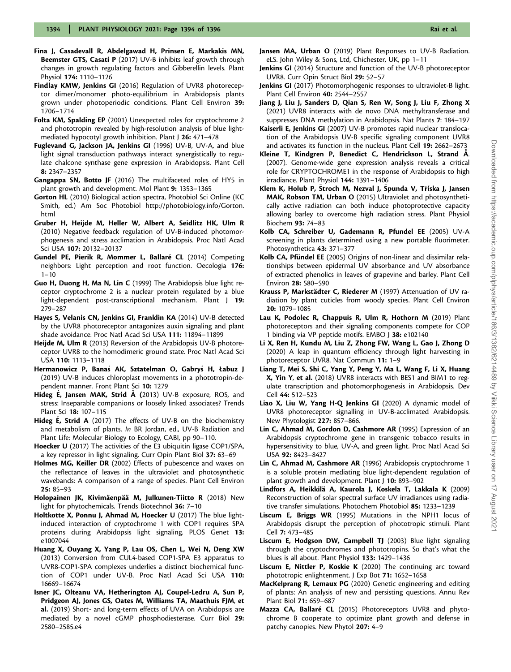- Fina J, Casadevall R, Abdelgawad H, Prinsen E, Markakis MN, Beemster GTS, Casati P (2017) UV-B inhibits leaf growth through changes in growth regulating factors and Gibberellin levels. Plant Physiol 174: 1110–1126
- Findlay KMW, Jenkins GI (2016) Regulation of UVR8 photoreceptor dimer/monomer photo-equilibrium in Arabidopsis plants grown under photoperiodic conditions. Plant Cell Environ 39: 1706–1714
- Folta KM, Spalding EP (2001) Unexpected roles for cryptochrome 2 and phototropin revealed by high-resolution analysis of blue lightmediated hypocotyl growth inhibition. Plant J 26: 471–478
- Fuglevand G, Jackson JA, Jenkins GI (1996) UV-B, UV-A, and blue light signal transduction pathways interact synergistically to regulate chalcone synthase gene expression in Arabidopsis. Plant Cell 8: 2347–2357
- Gangappa SN, Botto JF (2016) The multifaceted roles of HY5 in plant growth and development. Mol Plant 9: 1353–1365
- Gorton HL (2010) Biological action spectra, Photobiol Sci Online (KC Smith, ed.) Am Soc Photobiol [http://photobiology.info/Gorton.](http://www.photobiology.info/) [html](http://www.photobiology.info/)
- Gruber H, Heijde M, Heller W, Albert A, Seidlitz HK, Ulm R (2010) Negative feedback regulation of UV-B-induced photomorphogenesis and stress acclimation in Arabidopsis. Proc Natl Acad Sci USA 107: 20132–20137
- Gundel PE, Pierik R, Mommer L, Ballaré CL (2014) Competing neighbors: Light perception and root function. Oecologia 176:  $1 - 10$
- Guo H, Duong H, Ma N, Lin C (1999) The Arabidopsis blue light receptor cryptochrome 2 is a nuclear protein regulated by a blue light-dependent post-transcriptional mechanism. Plant J 19: 279–287
- Hayes S, Velanis CN, Jenkins GI, Franklin KA (2014) UV-B detected by the UVR8 photoreceptor antagonizes auxin signaling and plant shade avoidance. Proc Natl Acad Sci USA 111: 11894–11899
- Heijde M, Ulm R (2013) Reversion of the Arabidopsis UV-B photoreceptor UVR8 to the homodimeric ground state. Proc Natl Acad Sci USA 110: 1113–1118
- Hermanowicz P, Banaś AK, Sztatelman O, Gabryś H, Łabuz J (2019) UV-B induces chloroplast movements in a phototropin-dependent manner. Front Plant Sci 10: 1279
- Hideg E, Jansen MAK, Strid A (2013) UV-B exposure, ROS, and stress: Inseparable companions or loosely linked associates? Trends Plant Sci 18: 107–115
- **Hideg E, Strid A** (2017) The effects of UV-B on the biochemistry and metabolism of plants. In BR Jordan, ed., UV-B Radiation and Plant Life: Molecular Biology to Ecology, CABI, pp 90–110.
- Hoecker U (2017) The activities of the E3 ubiquitin ligase COP1/SPA, a key repressor in light signaling. Curr Opin Plant Biol 37: 63–69
- Holmes MG, Keiller DR (2002) Effects of pubescence and waxes on the reflectance of leaves in the ultraviolet and photosynthetic wavebands: A comparison of a range of species. Plant Cell Environ 25: 85–93
- Holopainen JK, Kivimäenpää M, Julkunen-Tiitto R (2018) New light for phytochemicals. Trends Biotechnol 36: 7-10
- Holtkotte X, Ponnu J, Ahmad M, Hoecker U (2017) The blue lightinduced interaction of cryptochrome 1 with COP1 requires SPA proteins during Arabidopsis light signaling. PLOS Genet 13: e1007044
- Huang X, Ouyang X, Yang P, Lau OS, Chen L, Wei N, Deng XW (2013) Conversion from CUL4-based COP1-SPA E3 apparatus to UVR8-COP1-SPA complexes underlies a distinct biochemical function of COP1 under UV-B. Proc Natl Acad Sci USA 110: 16669–16674
- Isner JC, Olteanu VA, Hetherington AJ, Coupel-Ledru A, Sun P, Pridgeon AJ, Jones GS, Oates M, Williams TA, Maathuis FJM, et al. (2019) Short- and long-term effects of UVA on Arabidopsis are mediated by a novel cGMP phosphodiesterase. Curr Biol 29: 2580–2585.e4
- Jansen MA, Urban O (2019) Plant Responses to UV-B Radiation. eLS. John Wiley & Sons, Ltd, Chichester, UK, pp 1–11
- Jenkins GI (2014) Structure and function of the UV-B photoreceptor UVR8. Curr Opin Struct Biol 29: 52–57
- Jenkins GI (2017) Photomorphogenic responses to ultraviolet-B light. Plant Cell Environ 40: 2544–2557
- Jiang J, Liu J, Sanders D, Qian S, Ren W, Song J, Liu F, Zhong X (2021) UVR8 interacts with de novo DNA methyltransferase and suppresses DNA methylation in Arabidopsis. Nat Plants 7: 184–197
- Kaiserli E, Jenkins GI (2007) UV-B promotes rapid nuclear translocation of the Arabidopsis UV-B specific signaling component UVR8 and activates its function in the nucleus. Plant Cell 19: 2662–2673
- Kleine T, Kindgren P, Benedict C, Hendrickson L, Strand Å. (2007). Genome-wide gene expression analysis reveals a critical role for CRYPTOCHROME1 in the response of Arabidopsis to high irradiance. Plant Physiol 144: 1391–1406
- Klem K, Holub P, Štroch M, Nezval J, Špunda V, Tříska J, Jansen MAK, Robson TM, Urban O (2015) Ultraviolet and photosynthetically active radiation can both induce photoprotective capacity allowing barley to overcome high radiation stress. Plant Physiol Biochem 93: 74–83
- Kolb CA, Schreiber U, Gademann R, Pfundel EE (2005) UV-A screening in plants determined using a new portable fluorimeter. Photosynthetica 43: 371–377
- Kolb CA, Pfündel EE (2005) Origins of non-linear and dissimilar relationships between epidermal UV absorbance and UV absorbance of extracted phenolics in leaves of grapevine and barley. Plant Cell Environ 28: 580–590
- Krauss P, Markstädter C, Riederer M (1997) Attenuation of UV radiation by plant cuticles from woody species. Plant Cell Environ 20: 1079–1085
- Lau K, Podolec R, Chappuis R, Ulm R, Hothorn M (2019) Plant photoreceptors and their signaling components compete for COP 1 binding via VP peptide motifs. EMBO J 38: e102140
- Li X, Ren H, Kundu M, Liu Z, Zhong FW, Wang L, Gao J, Zhong D (2020) A leap in quantum efficiency through light harvesting in photoreceptor UVR8. Nat Commun 11: 1–9
- Liang T, Mei S, Shi C, Yang Y, Peng Y, Ma L, Wang F, Li X, Huang X, Yin Y, et al. (2018) UVR8 interacts with BES1 and BIM1 to regulate transcription and photomorphogenesis in Arabidopsis. Dev Cell 44: 512–523
- Liao X, Liu W, Yang H-Q Jenkins GI (2020) A dynamic model of UVR8 photoreceptor signalling in UV-B-acclimated Arabidopsis. New Phytologist 227: 857–866.
- Lin C, Ahmad M, Gordon D, Cashmore AR (1995) Expression of an Arabidopsis cryptochrome gene in transgenic tobacco results in hypersensitivity to blue, UV-A, and green light. Proc Natl Acad Sci USA 92: 8423–8427
- Lin C, Ahmad M, Cashmore AR (1996) Arabidopsis cryptochrome 1 is a soluble protein mediating blue light-dependent regulation of plant growth and development. Plant J 10: 893-902
- Lindfors A, Heikkilä A, Kaurola J, Koskela T, Lakkala K (2009) Reconstruction of solar spectral surface UV irradiances using radiative transfer simulations. Photochem Photobiol 85: 1233–1239
- Liscum E, Briggs WR (1995) Mutations in the NPH1 locus of Arabidopsis disrupt the perception of phototropic stimuli. Plant Cell 7: 473–485
- Liscum E, Hodgson DW, Campbell TJ (2003) Blue light signaling through the cryptochromes and phototropins. So that's what the blues is all about. Plant Physiol 133: 1429–1436
- Liscum E, Nittler P, Koskie K (2020) The continuing arc toward phototropic enlightenment. J Exp Bot 71: 1652–1658
- MacKelprang R, Lemaux PG (2020) Genetic engineering and editing of plants: An analysis of new and persisting questions. Annu Rev Plant Biol 71: 659–687
- Mazza CA, Ballaré CL (2015) Photoreceptors UVR8 and phytochrome B cooperate to optimize plant growth and defense in patchy canopies. New Phytol 207: 4–9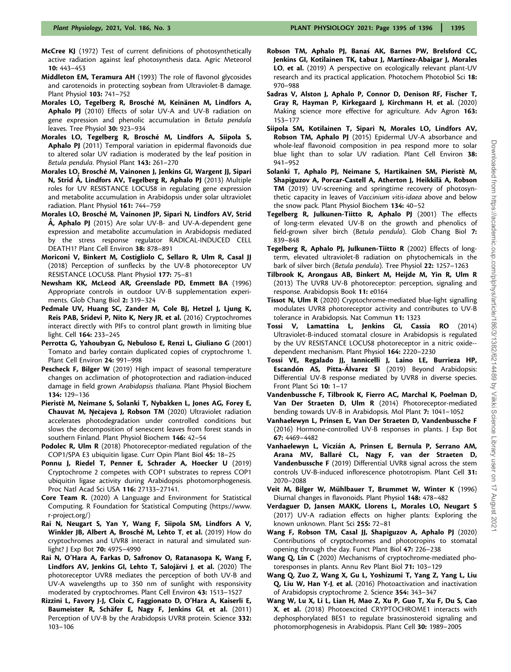- McCree KJ (1972) Test of current definitions of photosynthetically active radiation against leaf photosynthesis data. Agric Meteorol 10: 443–453
- Middleton EM, Teramura AH (1993) The role of flavonol glycosides and carotenoids in protecting soybean from Ultraviolet-B damage. Plant Physiol 103: 741–752
- Morales LO, Tegelberg R, Brosché M, Keinänen M, Lindfors A, Aphalo PJ (2010) Effects of solar UV-A and UV-B radiation on gene expression and phenolic accumulation in Betula pendula leaves. Tree Physiol 30: 923–934
- Morales LO, Tegelberg R, Brosché M, Lindfors A, Siipola S, Aphalo PJ (2011) Temporal variation in epidermal flavonoids due to altered solar UV radiation is moderated by the leaf position in Betula pendula. Physiol Plant 143: 261–270
- Morales LO, Brosché M, Vainonen J, Jenkins GI, Wargent JJ, Sipari N, Strid A, Lindfors AV, Tegelberg R, Aphalo PJ (2013) Multiple roles for UV RESISTANCE LOCUS8 in regulating gene expression and metabolite accumulation in Arabidopsis under solar ultraviolet radiation. Plant Physiol 161: 744–759
- Morales LO, Brosché M, Vainonen JP, Sipari N, Lindfors AV, Strid  $\AA$ , Aphalo PJ (2015) Are solar UV-B- and UV-A-dependent gene expression and metabolite accumulation in Arabidopsis mediated by the stress response regulator RADICAL-INDUCED CELL DEATH1? Plant Cell Environ 38: 878–891
- Moriconi V, Binkert M, Costigliolo C, Sellaro R, Ulm R, Casal JJ (2018) Perception of sunflecks by the UV-B photoreceptor UV RESISTANCE LOCUS8. Plant Physiol 177: 75–81
- Newsham KK, McLeod AR, Greenslade PD, Emmett BA (1996) Appropriate controls in outdoor UV-B supplementation experiments. Glob Chang Biol 2: 319–324
- Pedmale UV, Huang SC, Zander M, Cole BJ, Hetzel J, Ljung K, Reis PAB, Sridevi P, Nito K, Nery JR, et al. (2016) Cryptochromes interact directly with PIFs to control plant growth in limiting blue light. Cell 164: 233–245
- Perrotta G, Yahoubyan G, Nebuloso E, Renzi L, Giuliano G (2001) Tomato and barley contain duplicated copies of cryptochrome 1. Plant Cell Environ 24: 991–998
- Pescheck F, Bilger W (2019) High impact of seasonal temperature changes on acclimation of photoprotection and radiation-induced damage in field grown Arabidopsis thaliana. Plant Physiol Biochem 134: 129–136
- Pieristè M, Neimane S, Solanki T, Nybakken L, Jones AG, Forey E, Chauvat M, Nečajeva J, Robson TM (2020) Ultraviolet radiation accelerates photodegradation under controlled conditions but slows the decomposition of senescent leaves from forest stands in southern Finland. Plant Physiol Biochem 146: 42–54
- Podolec R, Ulm R (2018) Photoreceptor-mediated regulation of the COP1/SPA E3 ubiquitin ligase. Curr Opin Plant Biol 45: 18–25
- Ponnu J, Riedel T, Penner E, Schrader A, Hoecker U (2019) Cryptochrome 2 competes with COP1 substrates to repress COP1 ubiquitin ligase activity during Arabidopsis photomorphogenesis. Proc Natl Acad Sci USA 116: 27133–27141.
- Core Team R. (2020) A Language and Environment for Statistical Computing. R Foundation for Statistical Computing [\(https://www.](https://www.r-project.org/) [r-project.org/\)](https://www.r-project.org/)
- Rai N, Neugart S, Yan Y, Wang F, Siipola SM, Lindfors A V, Winkler JB, Albert A, Brosché M, Lehto T, et al. (2019) How do cryptochromes and UVR8 interact in natural and simulated sunlight? J Exp Bot **70:** 4975-4990
- Rai N, O'Hara A, Farkas D, Safronov O, Ratanasopa K, Wang F, Lindfors AV, Jenkins GI, Lehto T, Salojärvi J, et al. (2020) The photoreceptor UVR8 mediates the perception of both UV-B and UV-A wavelengths up to 350 nm of sunlight with responsivity moderated by cryptochromes. Plant Cell Environ 43: 1513–1527
- Rizzini L, Favory J-J, Cloix C, Faggionato D, O'Hara A, Kaiserli E, Baumeister R, Schäfer E, Nagy F, Jenkins GI, et al. (2011) Perception of UV-B by the Arabidopsis UVR8 protein. Science 332: 103–106
- Robson TM, Aphalo PJ, Banaś AK, Barnes PW, Brelsford CC, Jenkins GI, Kotilainen TK, Łabuz J, Martínez-Abaigar J, Morales LO, et al. (2019) A perspective on ecologically relevant plant-UV research and its practical application. Photochem Photobiol Sci 18: 970–988
- Sadras V, Alston J, Aphalo P, Connor D, Denison RF, Fischer T, Gray R, Hayman P, Kirkegaard J, Kirchmann H, et al. (2020) Making science more effective for agriculture. Adv Agron 163: 153–177
- Siipola SM, Kotilainen T, Sipari N, Morales LO, Lindfors AV, Robson TM, Aphalo PJ (2015) Epidermal UV-A absorbance and whole-leaf flavonoid composition in pea respond more to solar blue light than to solar UV radiation. Plant Cell Environ 38: 941–952
- Solanki T, Aphalo PJ, Neimane S, Hartikainen SM, Pieristè M, Shapiguzov A, Porcar-Castell A, Atherton J, Heikkilä A, Robson TM (2019) UV-screening and springtime recovery of photosynthetic capacity in leaves of Vaccinium vitis-idaea above and below the snow pack. Plant Physiol Biochem 134: 40–52
- Tegelberg R, Julkunen-Tiitto R, Aphalo PJ (2001) The effects of long-term elevated UV-B on the growth and phenolics of field-grown silver birch (Betula pendula). Glob Chang Biol 7: 839–848
- Tegelberg R, Aphalo PJ, Julkunen-Tiitto R (2002) Effects of longterm, elevated ultraviolet-B radiation on phytochemicals in the bark of silver birch (Betula pendula). Tree Physiol 22: 1257–1263
- Tilbrook K, Arongaus AB, Binkert M, Heijde M, Yin R, Ulm R (2013) The UVR8 UV-B photoreceptor: perception, signaling and response. Arabidopsis Book 11: e0164
- Tissot N, Ulm R (2020) Cryptochrome-mediated blue-light signalling modulates UVR8 photoreceptor activity and contributes to UV-B tolerance in Arabidopsis. Nat Commun 11: 1323
- Tossi V, Lamattina L, Jenkins GI, Cassia RO (2014) Ultraviolet-B-induced stomatal closure in Arabidopsis is regulated by the UV RESISTANCE LOCUS8 photoreceptor in a nitric oxide- dependent mechanism. Plant Physiol 164: 2220–2230
- Tossi VE, Regalado JJ, Iannicelli J, Laino LE, Burrieza HP, Escandón AS, Pitta-Álvarez SI (2019) Beyond Arabidopsis: Differential UV-B response mediated by UVR8 in diverse species. Front Plant Sci 10: 1-17
- Vandenbussche F, Tilbrook K, Fierro AC, Marchal K, Poelman D, Van Der Straeten D, Ulm R (2014) Photoreceptor-mediated bending towards UV-B in Arabidopsis. Mol Plant 7: 1041–1052
- Vanhaelewyn L, Prinsen E, Van Der Straeten D, Vandenbussche F (2016) Hormone-controlled UV-B responses in plants. J Exp Bot 67: 4469–4482
- Vanhaelewyn L, Viczián A, Prinsen E, Bernula P, Serrano AM, Arana MV, Ballaré CL, Nagy F, van der Straeten D, Vandenbussche F (2019) Differential UVR8 signal across the stem controls UV-B-induced inflorescence phototropism. Plant Cell 31: 2070–2088
- Veit M, Bilger W, Mühlbauer T, Brummet W, Winter K (1996) Diurnal changes in flavonoids. Plant Physiol 148: 478–482
- Verdaguer D, Jansen MAKK, Llorens L, Morales LO, Neugart S (2017) UV-A radiation effects on higher plants: Exploring the known unknown. Plant Sci 255: 72–81
- Wang F, Robson TM, Casal JJ, Shapiguzov A, Aphalo PJ (2020) Contributions of cryptochromes and phototropins to stomatal opening through the day. Funct Plant Biol 47: 226–238
- Wang Q, Lin C (2020) Mechanisms of cryptochrome-mediated photoresponses in plants. Annu Rev Plant Biol 71: 103–129
- Wang Q, Zuo Z, Wang X, Gu L, Yoshizumi T, Yang Z, Yang L, Liu Q, Liu W, Han Y-J, et al. (2016) Photoactivation and inactivation of Arabidopsis cryptochrome 2. Science 354: 343–347
- Wang W, Lu X, Li L, Lian H, Mao Z, Xu P, Guo T, Xu F, Du S, Cao X, et al. (2018) Photoexcited CRYPTOCHROME1 interacts with dephosphorylated BES1 to regulate brassinosteroid signaling and photomorphogenesis in Arabidopsis. Plant Cell 30: 1989–2005